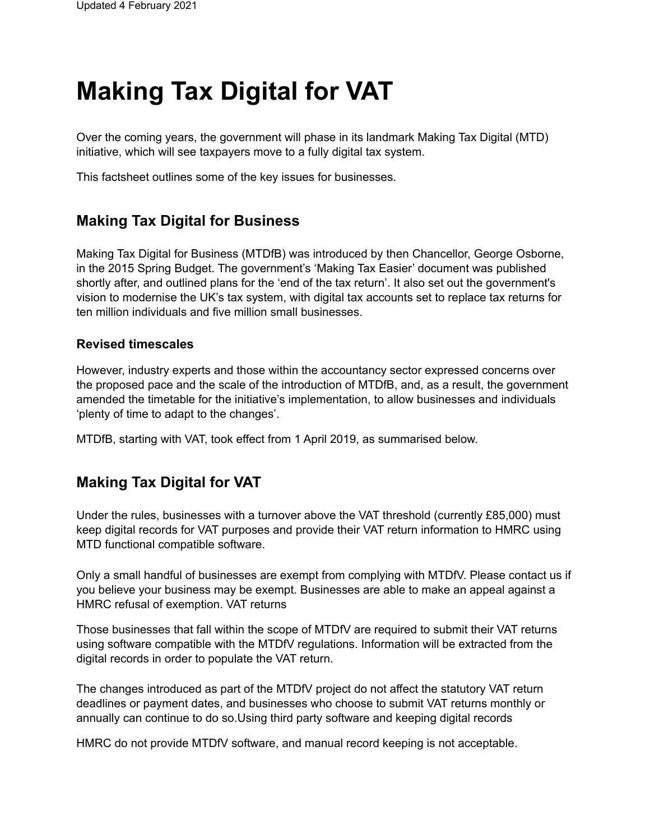# **Making Tax Digital for VAT**

Over the coming years, the government will phase in its landmark Making Tax Digital (MTD) initiative, which will see taxpayers move to a fully digital tax system.

This factsheet outlines some of the key issues for businesses.

### **Making Tax Digital for Business**

Making Tax Digital for Business (MTDfB) was introduced by then Chancellor, George Osborne, in the 2015 Spring Budget. The government's 'Making Tax Easier' document was published shortly after, and outlined plans for the 'end of the tax return'. It also set out the government's vision to modernise the UK's tax system, with digital tax accounts set to replace tax returns for ten million individuals and five million small businesses.

#### **Revised timescales**

However, industry experts and those within the accountancy sector expressed concerns over the proposed pace and the scale of the introduction of MTDfB, and, as a result, the government amended the timetable for the initiative's implementation, to allow businesses and individuals 'plenty of time to adapt to the changes'.

MTDfB, starting with VAT, took effect from 1 April 2019, as summarised below.

#### **Making Tax Digital for VAT**

Under the rules, businesses with a turnover above the VAT threshold (currently £85,000) must keep digital records for VAT purposes and provide their VAT return information to HMRC using MTD functional compatible software.

Only a small handful of businesses are exempt from complying with MTDfV. Please contact us if you believe your business may be exempt. Businesses are able to make an appeal against a HMRC refusal of exemption. VAT returns

Those businesses that fall within the scope of MTDfV are required to submit their VAT returns using software compatible with the MTDfV regulations. Information will be extracted from the digital records in order to populate the VAT return.

The changes introduced as part of the MTDfV project do not affect the statutory VAT return deadlines or payment dates, and businesses who choose to submit VAT returns monthly or annually can continue to do so.Using third party software and keeping digital records

HMRC do not provide MTDfV software, and manual record keeping is not acceptable.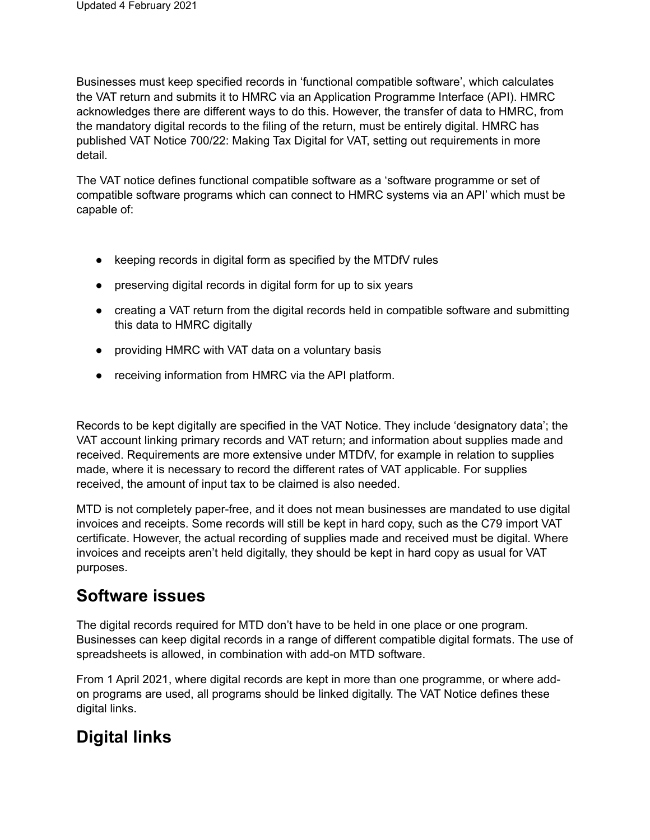Businesses must keep specified records in 'functional compatible software', which calculates the VAT return and submits it to HMRC via an Application Programme Interface (API). HMRC acknowledges there are different ways to do this. However, the transfer of data to HMRC, from the mandatory digital records to the filing of the return, must be entirely digital. HMRC has published VAT Notice 700/22: Making Tax Digital for VAT, setting out requirements in more detail.

The VAT notice defines functional compatible software as a 'software programme or set of compatible software programs which can connect to HMRC systems via an API' which must be capable of:

- keeping records in digital form as specified by the MTDfV rules
- preserving digital records in digital form for up to six years
- creating a VAT return from the digital records held in compatible software and submitting this data to HMRC digitally
- providing HMRC with VAT data on a voluntary basis
- receiving information from HMRC via the API platform.

Records to be kept digitally are specified in the VAT Notice. They include 'designatory data'; the VAT account linking primary records and VAT return; and information about supplies made and received. Requirements are more extensive under MTDfV, for example in relation to supplies made, where it is necessary to record the different rates of VAT applicable. For supplies received, the amount of input tax to be claimed is also needed.

MTD is not completely paper-free, and it does not mean businesses are mandated to use digital invoices and receipts. Some records will still be kept in hard copy, such as the C79 import VAT certificate. However, the actual recording of supplies made and received must be digital. Where invoices and receipts aren't held digitally, they should be kept in hard copy as usual for VAT purposes.

## **Software issues**

The digital records required for MTD don't have to be held in one place or one program. Businesses can keep digital records in a range of different compatible digital formats. The use of spreadsheets is allowed, in combination with add-on MTD software.

From 1 April 2021, where digital records are kept in more than one programme, or where addon programs are used, all programs should be linked digitally. The VAT Notice defines these digital links.

## **Digital links**